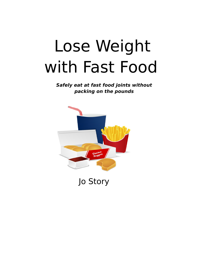# Lose Weight with Fast Food

**Safely eat at fast food joints without packing on the pounds**

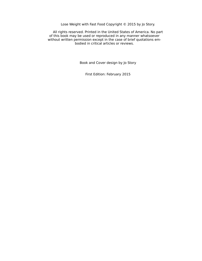Lose Weight with Fast Food Copyright © 2015 by Jo Story.

All rights reserved. Printed in the United States of America. No part of this book may be used or reproduced in any manner whatsoever without written permission except in the case of brief quotations embodied in critical articles or reviews.

Book and Cover design by Jo Story

First Edition: February 2015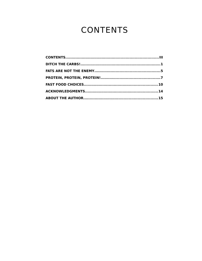# <span id="page-2-0"></span>**CONTENTS**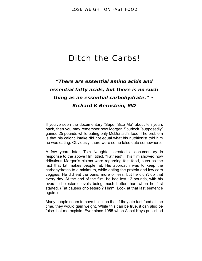## <span id="page-3-0"></span>Ditch the Carbs!

### **"There are essential amino acids and essential fatty acids, but there is no such thing as an essential carbohydrate." ~ Richard K Bernstein, MD**

If you've seen the documentary "Super Size Me" about ten years back, then you may remember how Morgan Spurlock "supposedly" gained 25 pounds while eating only McDonald's food. The problem is that his caloric intake did not equal what his nutritionist told him he was eating. Obviously, there were some false data somewhere.

A few years later, Tom Naughton created a documentary in response to the above film, titled, "Fathead". This film showed how ridiculous Morgan's claims were regarding fast food, such as the fact that fat makes people fat. His approach was to keep the carbohydrates to a minimum, while eating the protein and low carb veggies. He did eat the buns, more or less, but he didn't do that every day. At the end of the film, he had lost 12 pounds, with his overall cholesterol levels being much better than when he first started. (Fat causes cholesterol? Hmm. Look at that last sentence again.)

Many people seem to have this idea that if they ate fast food all the time, they would gain weight. While this can be true, it can also be false. Let me explain. Ever since 1955 when Ancel Keys published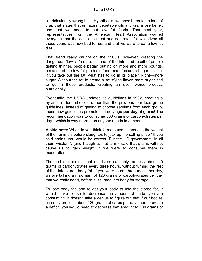his ridiculously wrong Lipid Hypothesis, we have been fed a load of crap that states that unnatural vegetable oils and grains are better, and that we need to eat low fat foods. That next year, representatives from the American Heart Association warned everyone that the delicious meat and saturated fat we prized all these years was now bad for us, and that we were to eat a low fat diet.

That trend really caught on the 1980's, however, creating the dangerous "low fat" craze. Instead of the intended result of people getting thinner, people began putting on more and more pounds, because of the low fat products food manufacturers began selling. If you take out the fat, what has to go in its place? Right—more sugar. Without the fat to create a satisfying flavor, more sugar had to go in these products, creating an even worse product, nutritionally.

Eventually, the USDA updated its guidelines in 1992, creating a pyramid of food choices, rather than the previous four food group guidelines. Instead of getting to choose servings from each group, these new guidelines promoted 11 servings **per day** of grains! The recommendation was to consume 300 grams of carbohydrates per day—which is way more than anyone needs in a month.

**A side note:** What do you think farmers use to increase the weight of their animals before slaughter, to jack up the selling price? If you said grains, you would be correct. But the US government, in all their "wisdom", (and I laugh at that term), said that grains will not cause us to gain weight, if we were to consume them in moderation.

The problem here is that our livers can only process about 40 grams of carbohydrates every three hours, without turning the rest of that into stored body fat. If you were to eat three meals per day, we are talking a maximum of 120 grams of carbohydrates per day that we really need, before it is turned into body fat storage.

To lose body fat, and to get your body to use the stored fat, it would make sense to decrease the amount of carbs you are consuming. It doesn't take a genius to figure out that if our bodies can only process about 120 grams of carbs per day, then to create a deficit, you would need to decrease that amount to 100 grams or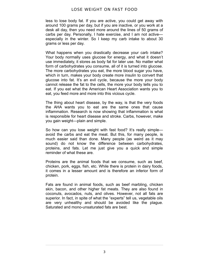less to lose body fat. If you are active, you could get away with around 100 grams per day, but if you are inactive, or you work at a desk all day, then you need more around the lines of 50 grams of carbs per day. Personally, I hate exercise, and I am not active especially in the winter. So I keep my carb intake to about 30 grams or less per day.

What happens when you drastically decrease your carb intake? Your body normally uses glucose for energy, and what it doesn't use immediately, it stores as body fat for later use. No matter what form of carbohydrates you consume, all of it is turned into glucose. The more carbohydrates you eat, the more blood sugar you have, which in turn, makes your body create more insulin to convert that glucose into fat. It's an evil cycle, because the more your body cannot release the fat to the cells, the more your body tells you to eat. If you eat what the American Heart Association wants you to eat, you feed more and more into this vicious cycle.

The thing about heart disease, by the way, is that the very foods the AHA wants you to eat are the same ones that cause inflammation. Research is now showing that inflammation is what is responsible for heart disease and stroke. Carbs, however, make you gain weight—plain and simple.

So how can you lose weight with fast food? It's really simpleavoid the carbs and eat the meat. But this, for many people, is much easier said than done. Many people (as weird as it may sound) do not know the difference between carbohydrates, proteins, and fats. Let me just give you a quick and simple reminder of what these are.

Proteins are the animal foods that we consume, such as beef, chicken, pork, eggs, fish, etc. While there is protein in dairy foods, it comes in a lesser amount and is therefore an inferior form of protein.

Fats are found in animal foods, such as beef marbling, chicken skin, bacon, and other higher fat meats. They are also found in coconuts, avocados, nuts, and olives. However, not all fats are superior. In fact, in spite of what the "experts" tell us, vegetable oils are very unhealthy and should be avoided like the plague. Saturated and mono-unsaturated fats are best.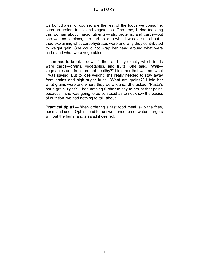Carbohydrates, of course, are the rest of the foods we consume, such as grains, fruits, and vegetables. One time, I tried teaching this woman about macronutrients—fats, proteins, and carbs—but she was so clueless, she had no idea what I was talking about. I tried explaining what carbohydrates were and why they contributed to weight gain. She could not wrap her head around what were carbs and what were vegetables.

I then had to break it down further, and say exactly which foods were carbs—grains, vegetables, and fruits. She said, "Wait vegetables and fruits are not healthy?" I told her that was not what I was saying. But to lose weight, she really needed to stay away from grains and high sugar fruits. "What are grains?" I told her what grains were and where they were found. She asked, "Pasta's not a grain, right?" I had nothing further to say to her at that point, because if she was going to be so stupid as to not know the basics of nutrition, we had nothing to talk about.

**Practical tip #1**—When ordering a fast food meal, skip the fries, buns, and soda. Opt instead for unsweetened tea or water, burgers without the buns, and a salad if desired.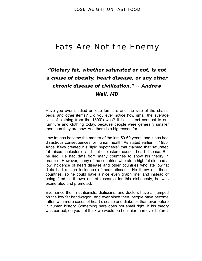### <span id="page-7-0"></span>Fats Are Not the Enemy

### **"Dietary fat, whether saturated or not, is not a cause of obesity, heart disease, or any other chronic disease of civilization." ~ Andrew Weil, MD**

Have you ever studied antique furniture and the size of the chairs, beds, and other items? Did you ever notice how small the average size of clothing from the 1800's was? It is in direct contrast to our furniture and clothing today, because people were generally smaller then than they are now. And there is a big reason for this.

Low fat has become the mantra of the last 50-60 years, and it has had disastrous consequences for human health. As stated earlier, in 1955, Ancel Keys created his "lipid hypothesis" that claimed that saturated fat raises cholesterol, and that cholesterol causes heart disease. But he lied. He had data from many countries to show his theory in practice. However, many of the countries who ate a high fat diet had a low incidence of heart disease and other countries who ate low fat diets had a high incidence of heart disease. He threw out those countries, so he could have a nice even graph line, and instead of being fired or thrown out of research for this dishonesty, he was exonerated and promoted.

Ever since then, nutritionists, dieticians, and doctors have all jumped on the low fat bandwagon. And ever since then, people have become fatter, with more cases of heart disease and diabetes than ever before in human history. Something here does not smell right. If his theory was correct, do you not think we would be healthier than ever before?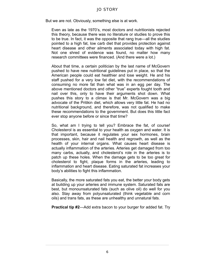But we are not. Obviously, something else is at work.

Even as late as the 1970's, most doctors and nutritionists rejected this theory, because there was no literature or studies to prove this to be true. In fact, it was the opposite that rang true—all the studies pointed to a high fat, low carb diet that provides protection against heart disease and other ailments associated today with high fat. Not one shred of evidence was found, no matter how many research committees were financed. (And there were a lot.)

About that time, a certain politician by the last name of McGovern pushed to have new nutritional guidelines put in place, so that the American people could eat healthier and lose weight. He and his staff pushed for a very low fat diet, with the recommendations of consuming no more fat than what was in an egg per day. The above mentioned doctors and other "true" experts fought tooth and nail over this, only to have their arguments shot down. What pushes this story to a climax is that Mr. McGovern was a big advocate of the Pritikin diet, which allows very little fat. He had no nutritional background, and therefore, was not qualified to make these recommendations to the government. But does this little fact ever stop anyone before or since that time?

So, what am I trying to tell you? Embrace the fat, of course! Cholesterol is as essential to your health as oxygen and water. It is that important, because it regulates your sex hormones, brain processes, skin, hair and nail health and regrowth, as well as the health of your internal organs. What causes heart disease is actually inflammation of the arteries. Arteries get damaged from too many carbs, actually, and cholesterol's role in the arteries is to patch up these holes. When the damage gets to be too great for cholesterol to fight, plaque forms in the arteries, leading to inflammation and heart disease. Eating saturated fat increases your body's abilities to fight this inflammation.

Basically, the more saturated fats you eat, the better your body gets at building up your arteries and immune system. Saturated fats are best, but monounsaturated fats (such as olive oil) do well for you also. Stay away from polyunsaturated (think vegetable and corn oils) and trans fats, as these are unhealthy and unnatural fats.

**Practical tip #2**—Add extra bacon to your burger for added fat. Try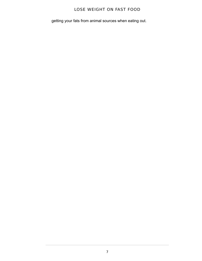getting your fats from animal sources when eating out.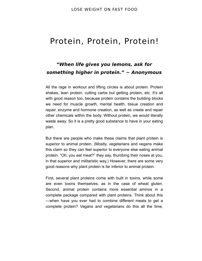### <span id="page-10-0"></span>Protein, Protein, Protein!

### **"When life gives you lemons, ask for something higher in protein." ~ Anonymous**

All the rage in workout and lifting circles is about protein. Protein shakes, lean protein, cutting carbs but getting protein, etc. It's all with good reason too, because protein contains the building blocks we need for muscle growth, mental health, tissue creation and repair, enzyme and hormone creation, as well as create and repair other chemicals within the body. Without protein, we would literally waste away. So it is a pretty good substance to have in your eating plan.

But there are people who make these claims that plant protein is superior to animal protein. (Mostly, vegetarians and vegans make this claim so they can feel superior to everyone else eating animal protein. "Oh, you eat meat?" they say, thumbing their noses at you, in that superior and militaristic way.) However, there are some very good reasons why plant protein is far inferior to animal protein.

First, several plant proteins come with built in toxins, while some are even toxins themselves, as in the case of wheat gluten. Second, animal protein contains more essential aminos in a complete package compared with plant proteins. Think about this —when have you ever had to combine different meats to get a complete protein? Vegans and vegetarians do this all the time,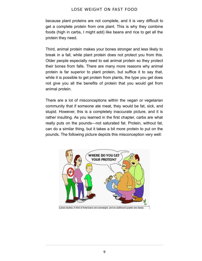because plant proteins are not complete, and it is very difficult to get a complete protein from one plant. This is why they combine foods (high in carbs, I might add) like beans and rice to get all the protein they need.

Third, animal protein makes your bones stronger and less likely to break in a fall, while plant protein does not protect you from this. Older people especially need to eat animal protein so they protect their bones from falls. There are many more reasons why animal protein is far superior to plant protein, but suffice it to say that, while it is possible to get protein from plants, the type you get does not give you all the benefits of protein that you would get from animal protein.

There are a lot of misconceptions within the vegan or vegetarian community that if someone ate meat, they would be fat, sick, and stupid. However, this is a completely inaccurate picture, and it is rather insulting. As you learned in the first chapter, carbs are what really puts on the pounds—not saturated fat. Protein, without fat, can do a similar thing, but it takes a bit more protein to put on the pounds. The following picture depicts this misconception very well:



Latest studies: A third of Americans are overweight, and an additional quarter are obese.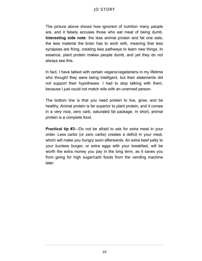The picture above shows how ignorant of nutrition many people are, and it falsely accuses those who eat meat of being dumb. **Interesting side note**: the less animal protein and fat one eats, the less material the brain has to work with, meaning that less synapses are firing, creating less pathways to learn new things. In essence, plant protein makes people dumb, and yet they do not always see this.

In fact, I have talked with certain vegans/vegetarians in my lifetime who thought they were being intelligent, but their statements did not support their hypotheses. I had to stop talking with them, because I just could not match wits with an unarmed person.

The bottom line is that you need protein to live, grow, and be healthy. Animal protein is far superior to plant protein, and it comes in a very nice, zero carb, saturated fat package. In short, animal protein is a complete food.

**Practical tip #3**—Do not be afraid to ask for extra meat in your order. Less carbs (or zero carbs) creates a deficit in your meal, which will make you hungry soon afterwards. An extra beef patty to your bunless burger, or extra eggs with your breakfast, will be worth the extra money you pay in the long term, as it saves you from going for high sugar/carb foods from the vending machine later.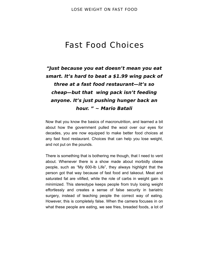### <span id="page-13-0"></span>Fast Food Choices

### **"Just because you eat doesn't mean you eat smart. It's hard to beat a \$1.99 wing pack of three at a fast food restaurant—it's so cheap—but that wing pack isn't feeding anyone. It's just pushing hunger back an hour. " ~ Mario Batali**

Now that you know the basics of macronutrition, and learned a bit about how the government pulled the wool over our eyes for decades, you are now equipped to make better food choices at any fast food restaurant. Choices that can help you lose weight, and not put on the pounds.

There is something that is bothering me though, that I need to vent about. Whenever there is a show made about morbidly obese people, such as "My 600-lb Life", they always highlight that the person got that way because of fast food and takeout. Meat and saturated fat are vilified, while the role of carbs in weight gain is minimized. This stereotype keeps people from truly losing weight effortlessly and creates a sense of false security in bariatric surgery, instead of teaching people the correct way of eating. However, this is completely false. When the camera focuses in on what these people are eating, we see fries, breaded foods, a lot of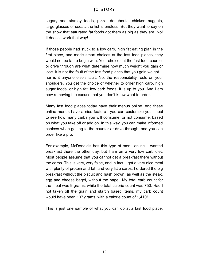sugary and starchy foods, pizza, doughnuts, chicken nuggets, large glasses of soda…the list is endless. But they want to say on the show that saturated fat foods got them as big as they are. No! It doesn't work that way!

If those people had stuck to a low carb, high fat eating plan in the first place, and made smart choices at the fast food places, they would not be fat to begin with. Your choices at the fast food counter or drive through are what determine how much weight you gain or lose. It is not the fault of the fast food places that you gain weight… nor is it anyone else's fault. No, the responsibility rests on your shoulders. You get the choice of whether to order high carb, high sugar foods, or high fat, low carb foods. It is up to you. And I am now removing the excuse that you don't know what to order.

Many fast food places today have their menus online. And these online menus have a nice feature—you can customize your meal to see how many carbs you will consume, or not consume, based on what you take off or add on. In this way, you can make informed choices when getting to the counter or drive through, and you can order like a pro.

For example, McDonald's has this type of menu online. I wanted breakfast there the other day, but I am on a very low carb diet. Most people assume that you cannot get a breakfast there without the carbs. This is very, very false, and in fact, I got a very nice meal with plenty of protein and fat, and very little carbs. I ordered the big breakfast without the biscuit and hash brown, as well as the steak, egg and cheese bagel, without the bagel. My total carb count for the meal was 9 grams, while the total calorie count was 750. Had I not taken off the grain and starch based items, my carb count would have been 107 grams, with a calorie count of 1,410!

This is just one sample of what you can do at a fast food place.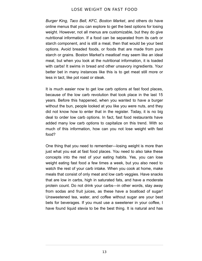*Burger King, Taco Bell, KFC, Boston Market*, and others do have online menus that you can explore to get the best options for losing weight. However, not all menus are customizable, but they do give nutritional information. If a food can be separated from its carb or starch component, and is still a meal, then that would be your best options. Avoid breaded foods, or foods that are made from pure starch or grains. Boston Market's meatloaf may seem like an ideal meal, but when you look at the nutritional information, it is loaded with carbs! It swims in bread and other unsavory ingredients. Your better bet in many instances like this is to get meat still more or less in tact, like pot roast or steak.

It is much easier now to get low carb options at fast food places, because of the low carb revolution that took place in the last 15 years. Before this happened, when you wanted to have a burger without the bun, people looked at you like you were nuts, and they did not know how to enter that in the register. Today, it is no big deal to order low carb options. In fact, fast food restaurants have added many low carb options to capitalize on this trend. With so much of this information, how can you not lose weight with fast food?

One thing that you need to remember—losing weight is more than just what you eat at fast food places. You need to also take these concepts into the rest of your eating habits. Yes, you can lose weight eating fast food a few times a week, but you also need to watch the rest of your carb intake. When you cook at home, make meals that consist of only meat and low carb veggies. Have snacks that are low in carbs, high in saturated fats, and have a moderate protein count. Do not drink your carbs—in other words, stay away from sodas and fruit juices, as these have a boatload of sugar! Unsweetened tea, water, and coffee without sugar are your best bets for beverages. If you must use a sweetener in your coffee, I have found liquid stevia to be the best thing. It is natural and has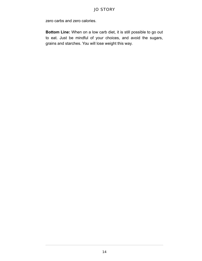zero carbs and zero calories.

**Bottom Line:** When on a low carb diet, it is still possible to go out to eat. Just be mindful of your choices, and avoid the sugars, grains and starches. You will lose weight this way.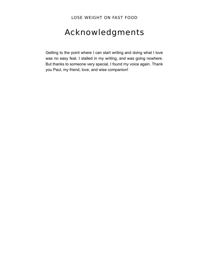# <span id="page-17-0"></span>Acknowledgments

Getting to the point where I can start writing and doing what I love was no easy feat. I stalled in my writing, and was going nowhere. But thanks to someone very special, I found my voice again. Thank you Paul, my friend, love, and wise companion!